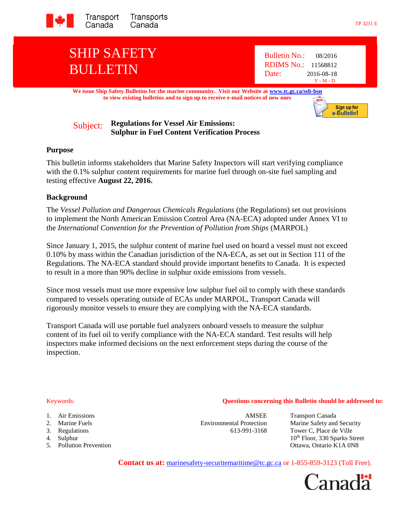

# SHIP SAFETY BULLETIN

Bulletin No.: 08/2016 RDIMS No.: 11568812 Date: 2016-08-18 Y - M - D

**We issue Ship Safety Bulletins for the marine community. Visit our Website at [www.tc.gc.ca/ssb-bsn](http://www.tc.gc.ca/ssb-bsn) to view existing bulletins and to sign up to receive e-mail notices of new ones**

## Subject: **Regulations for Vessel Air Emissions: Sulphur in Fuel Content Verification Process**

#### **Purpose**

This bulletin informs stakeholders that Marine Safety Inspectors will start verifying compliance with the 0.1% sulphur content requirements for marine fuel through on-site fuel sampling and testing effective **August 22, 2016.**

#### **Background**

The *Vessel Pollution and Dangerous Chemicals Regulations* (the Regulations) set out provisions to implement the North American Emission Control Area (NA-ECA) adopted under Annex VI to the *International Convention for the Prevention of Pollution from Ships* (MARPOL)

Since January 1, 2015, the sulphur content of marine fuel used on board a vessel must not exceed 0.10% by mass within the Canadian jurisdiction of the NA-ECA, as set out in Section 111 of the Regulations. The NA-ECA standard should provide important benefits to Canada. It is expected to result in a more than 90% decline in sulphur oxide emissions from vessels.

Since most vessels must use more expensive low sulphur fuel oil to comply with these standards compared to vessels operating outside of ECAs under MARPOL, Transport Canada will rigorously monitor vessels to ensure they are complying with the NA-ECA standards.

Transport Canada will use portable fuel analyzers onboard vessels to measure the sulphur content of its fuel oil to verify compliance with the NA-ECA standard. Test results will help inspectors make informed decisions on the next enforcement steps during the course of the inspection.

#### Keywords: **Questions concerning this Bulletin should be addressed to:**

- 
- 
- 
- 
- 

1. Air Emissions **1. Air Emissions 1. Air Emissions 1. Air Emissions 1. AIR AMSEE 1. Air Emissions** 

2. Marine Fuels Environmental Protection Marine Safety and Security 3. Regulations 613-991-3168 Tower C, Place de Ville 4. Sulphur 10<sup>th</sup> Floor, 330 Sparks Street 5. Pollution Prevention Ottawa, Ontario K1A 0N8

**Contact us at:** [marinesafety-securitemaritime@tc.gc.ca](http://www.tc.gc.ca/marinesafety) or 1-855-859-3123 (Toll Free).

anada

**Sign up for** e-Bulletin!